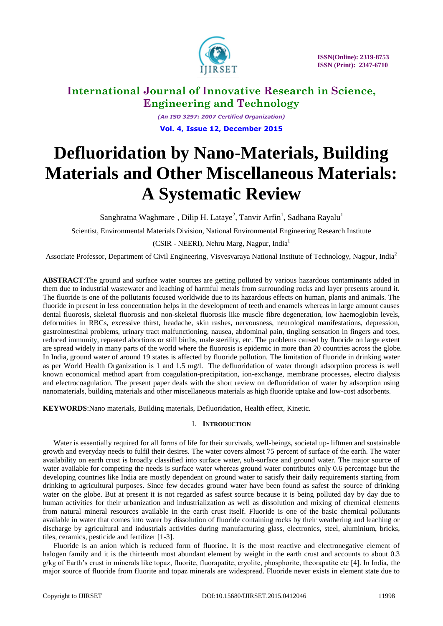

*(An ISO 3297: 2007 Certified Organization)* **Vol. 4, Issue 12, December 2015**

# **Defluoridation by Nano-Materials, Building Materials and Other Miscellaneous Materials: A Systematic Review**

Sanghratna Waghmare<sup>1</sup>, Dilip H. Lataye<sup>2</sup>, Tanvir Arfin<sup>1</sup>, Sadhana Rayalu<sup>1</sup>

Scientist, Environmental Materials Division, National Environmental Engineering Research Institute

(CSIR - NEERI), Nehru Marg, Nagpur, India<sup>1</sup>

Associate Professor, Department of Civil Engineering, Visvesvaraya National Institute of Technology, Nagpur, India<sup>2</sup>

**ABSTRACT**:The ground and surface water sources are getting polluted by various hazardous contaminants added in them due to industrial wastewater and leaching of harmful metals from surrounding rocks and layer presents around it. The fluoride is one of the pollutants focused worldwide due to its hazardous effects on human, plants and animals. The fluoride in present in less concentration helps in the development of teeth and enamels whereas in large amount causes dental fluorosis, skeletal fluorosis and non-skeletal fluorosis like muscle fibre degeneration, low haemoglobin levels, deformities in RBCs, excessive thirst, headache, skin rashes, nervousness, neurological manifestations, depression, gastrointestinal problems, urinary tract malfunctioning, nausea, abdominal pain, tingling sensation in fingers and toes, reduced immunity, repeated abortions or still births, male sterility, etc. The problems caused by fluoride on large extent are spread widely in many parts of the world where the fluorosis is epidemic in more than 20 countries across the globe. In India, ground water of around 19 states is affected by fluoride pollution. The limitation of fluoride in drinking water as per World Health Organization is 1 and 1.5 mg/l. The defluoridation of water through adsorption process is well known economical method apart from coagulation-precipitation, ion-exchange, membrane processes, electro dialysis and electrocoagulation. The present paper deals with the short review on defluoridation of water by adsorption using nanomaterials, building materials and other miscellaneous materials as high fluoride uptake and low-cost adsorbents.

**KEYWORDS**:Nano materials, Building materials, Defluoridation, Health effect, Kinetic.

### I. **INTRODUCTION**

Water is essentially required for all forms of life for their survivals, well-beings, societal up- liftmen and sustainable growth and everyday needs to fulfil their desires. The water covers almost 75 percent of surface of the earth. The water availability on earth crust is broadly classified into surface water, sub-surface and ground water. The major source of water available for competing the needs is surface water whereas ground water contributes only 0.6 percentage but the developing countries like India are mostly dependent on ground water to satisfy their daily requirements starting from drinking to agricultural purposes. Since few decades ground water have been found as safest the source of drinking water on the globe. But at present it is not regarded as safest source because it is being polluted day by day due to human activities for their urbanization and industrialization as well as dissolution and mixing of chemical elements from natural mineral resources available in the earth crust itself. Fluoride is one of the basic chemical pollutants available in water that comes into water by dissolution of fluoride containing rocks by their weathering and leaching or discharge by agricultural and industrials activities during manufacturing glass, electronics, steel, aluminium, bricks, tiles, ceramics, pesticide and fertilizer [1-3].

Fluoride is an anion which is reduced form of fluorine. It is the most reactive and electronegative element of halogen family and it is the thirteenth most abundant element by weight in the earth crust and accounts to about 0.3 g/kg of Earth"s crust in minerals like topaz, fluorite, fluorapatite, cryolite, phosphorite, theorapatite etc [4]. In India, the major source of fluoride from fluorite and topaz minerals are widespread. Fluoride never exists in element state due to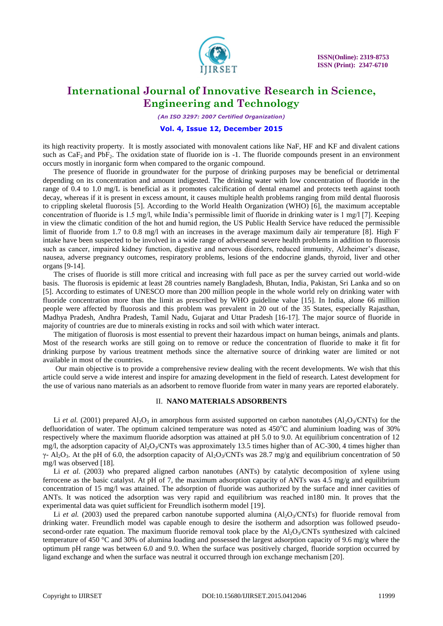

*(An ISO 3297: 2007 Certified Organization)*

### **Vol. 4, Issue 12, December 2015**

its high reactivity property. It is mostly associated with monovalent cations like NaF, HF and KF and divalent cations such as  $CaF<sub>2</sub>$  and PbF<sub>2</sub>. The oxidation state of fluoride ion is -1. The fluoride compounds present in an environment occurs mostly in inorganic form when compared to the organic compound.

The presence of fluoride in groundwater for the purpose of drinking purposes may be beneficial or detrimental depending on its concentration and amount indigested. The drinking water with low concentration of fluoride in the range of 0.4 to 1.0 mg/L is beneficial as it promotes calcification of dental enamel and protects teeth against tooth decay, whereas if it is present in excess amount, it causes multiple health problems ranging from mild dental fluorosis to crippling skeletal fluorosis [5]. According to the World Health Organization (WHO) [6], the maximum acceptable concentration of fluoride is 1.5 mg/l, while India"s permissible limit of fluoride in drinking water is 1 mg/l [7]. Keeping in view the climatic condition of the hot and humid region, the US Public Health Service have reduced the permissible limit of fluoride from 1.7 to 0.8 mg/l with an increases in the average maximum daily air temperature [8]. High  $F$ intake have been suspected to be involved in a wide range of adverseand severe health problems in addition to fluorosis such as cancer, impaired kidney function, digestive and nervous disorders, reduced immunity, Alzheimer's disease, nausea, adverse pregnancy outcomes, respiratory problems, lesions of the endocrine glands, thyroid, liver and other organs [9-14].

The crises of fluoride is still more critical and increasing with full pace as per the survey carried out world-wide basis. The fluorosis is epidemic at least 28 countries namely Bangladesh, Bhutan, India, Pakistan, Sri Lanka and so on [5]. According to estimates of UNESCO more than 200 million people in the whole world rely on drinking water with fluoride concentration more than the limit as prescribed by WHO guideline value [15]. In India, alone 66 million people were affected by fluorosis and this problem was prevalent in 20 out of the 35 States, especially Rajasthan, Madhya Pradesh, Andhra Pradesh, Tamil Nadu, Gujarat and Uttar Pradesh [16-17]. The major source of fluoride in majority of countries are due to minerals existing in rocks and soil with which water interact.

The mitigation of fluorosis is most essential to prevent their hazardous impact on human beings, animals and plants. Most of the research works are still going on to remove or reduce the concentration of fluoride to make it fit for drinking purpose by various treatment methods since the alternative source of drinking water are limited or not available in most of the countries.

Our main objective is to provide a comprehensive review dealing with the recent developments. We wish that this article could serve a wide interest and inspire for amazing development in the field of research. Latest development for the use of various nano materials as an adsorbent to remove fluoride from water in many years are reported elaborately.

#### II. **NANO MATERIALS ADSORBENTS**

Li *et al.* (2001) prepared  $A_1O_3$  in amorphous form assisted supported on carbon nanotubes ( $A_1O_3/CNTs$ ) for the defluoridation of water. The optimum calcined temperature was noted as  $450^{\circ}$ C and aluminium loading was of 30% respectively where the maximum fluoride adsorption was attained at pH 5.0 to 9.0. At equilibrium concentration of 12 mg/l, the adsorption capacity of  $A<sub>1</sub>O<sub>3</sub>/CNTs$  was approximately 13.5 times higher than of AC-300, 4 times higher than  $\gamma$ - Al<sub>2</sub>O<sub>3</sub>. At the pH of 6.0, the adsorption capacity of Al<sub>2</sub>O<sub>3</sub>/CNTs was 28.7 mg/g and equilibrium concentration of 50 mg/l was observed [18].

Li *et al.* (2003) who prepared aligned carbon nanotubes (ANTs) by catalytic decomposition of xylene using ferrocene as the basic catalyst. At pH of 7, the maximum adsorption capacity of ANTs was 4.5 mg/g and equilibrium concentration of 15 mg/l was attained. The adsorption of fluoride was authorized by the surface and inner cavities of ANTs. It was noticed the adsorption was very rapid and equilibrium was reached in180 min. It proves that the experimental data was quiet sufficient for Freundlich isotherm model [19].

Li *et al.* (2003) used the prepared carbon nanotube supported alumina ( $A I_2O_3/CNTs$ ) for fluoride removal from drinking water. Freundlich model was capable enough to desire the isotherm and adsorption was followed pseudosecond-order rate equation. The maximum fluoride removal took place by the  $Al_2O_3/CNTs$  synthesized with calcined temperature of 450 °C and 30% of alumina loading and possessed the largest adsorption capacity of 9.6 mg/g where the optimum pH range was between 6.0 and 9.0. When the surface was positively charged, fluoride sorption occurred by ligand exchange and when the surface was neutral it occurred through ion exchange mechanism [20].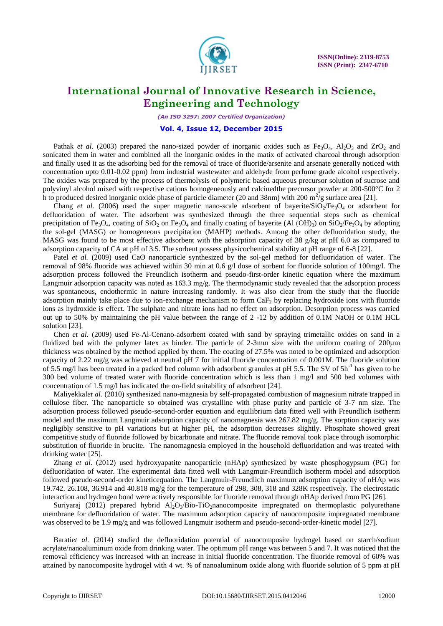

*(An ISO 3297: 2007 Certified Organization)*

### **Vol. 4, Issue 12, December 2015**

Pathak *et al.* (2003) prepared the nano-sized powder of inorganic oxides such as  $Fe<sub>3</sub>O<sub>4</sub>$ , Al<sub>2</sub>O<sub>3</sub> and ZrO<sub>2</sub> and sonicated them in water and combined all the inorganic oxides in the matix of activated charcoal through adsorption and finally used it as the adsorbing bed for the removal of trace of fluoride/arsenite and arsenate generally noticed with concentration upto 0.01-0.02 ppm) from industrial wastewater and aldehyde from perfume grade alcohol respectively. The oxides was prepared by the process of thermolysis of polymeric based aqueous precursor solution of sucrose and polyvinyl alcohol mixed with respective cations homogeneously and calcinedthe precursor powder at 200-500°C for 2 h to produced desired inorganic oxide phase of particle diameter (20 and 38nm) with 200  $m^2/g$  surface area [21].

Chang *et al.* (2006) used the super magnetic nano-scale adsorbent of bayerite/ $\text{SiO}_2/\text{Fe}_3\text{O}_4$  or adsorbent for defluoridation of water. The adsorbent was synthesized through the three sequential steps such as chemical precipitation of Fe<sub>3</sub>O<sub>4</sub>, coating of SiO<sub>2</sub> on Fe<sub>3</sub>O<sub>4</sub> and finally coating of bayerite (Al (OH)<sub>3</sub>) on SiO<sub>2</sub>/Fe<sub>3</sub>O<sub>4</sub> by adopting the sol-gel (MASG) or homogeneous precipitation (MAHP) methods. Among the other defluoridation study, the MASG was found to be most effective adsorbent with the adsorption capacity of 38 g/kg at pH 6.0 as compared to adsorption capacity of CA at pH of 3.5. The sorbent possess physicochemical stability at pH range of 6-8 [22].

Patel *et al.* (2009) used CaO nanoparticle synthesized by the sol-gel method for defluoridation of water. The removal of 98% fluoride was achieved within 30 min at 0.6 g/l dose of sorbent for fluoride solution of 100mg/l. The adsorption process followed the Freundlich isotherm and pseudo-first-order kinetic equation where the maximum Langmuir adsorption capacity was noted as  $163.3 \text{ mg/g}$ . The thermodynamic study revealed that the adsorption process was spontaneous, endothermic in nature increasing randomly. It was also clear from the study that the fluoride adsorption mainly take place due to ion-exchange mechanism to form  $CaF<sub>2</sub>$  by replacing hydroxide ions with fluoride ions as hydroxide is effect. The sulphate and nitrate ions had no effect on adsorption. Desorption process was carried out up to 50% by maintaining the pH value between the range of 2 -12 by addition of 0.1M NaOH or 0.1M HCL solution [23].

Chen *et al.* (2009) used Fe-Al-Cenano-adsorbent coated with sand by spraying trimetallic oxides on sand in a fluidized bed with the polymer latex as binder. The particle of 2-3mm size with the uniform coating of 200µm thickness was obtained by the method applied by them. The coating of 27.5% was noted to be optimized and adsorption capacity of 2.22 mg/g was achieved at neutral pH 7 for initial fluoride concentration of 0.001M. The fluoride solution of 5.5 mg/l has been treated in a packed bed column with adsorbent granules at pH 5.5. The SV of 5h<sup>-1</sup> has given to be 300 bed volume of treated water with fluoride concentration which is less than 1 mg/l and 500 bed volumes with concentration of 1.5 mg/l has indicated the on-field suitability of adsorbent [24].

Maliyekkal*et al.* (2010) synthesized nano-magnesia by self-propagated combustion of magnesium nitrate trapped in cellulose fiber. The nanoparticle so obtained was crystalline with phase purity and particle of 3-7 nm size. The adsorption process followed pseudo-second-order equation and equilibrium data fitted well with Freundlich isotherm model and the maximum Langmuir adsorption capacity of nanomagnesia was 267.82 mg/g. The sorption capacity was negligibly sensitive to pH variations but at higher pH, the adsorption decreases slightly. Phosphate showed great competitive study of fluoride followed by bicarbonate and nitrate. The fluoride removal took place through isomorphic substitution of fluoride in brucite. The nanomagnesia employed in the household defluoridation and was treated with drinking water [25].

Zhang *et al.* (2012) used hydroxyapatite nanoparticle (nHAp) synthesized by waste phosphogypsum (PG) for defluoridation of water. The experimental data fitted well with Langmuir-Freundlich isotherm model and adsorption followed pseudo-second-order kineticequation. The Langmuir-Freundlich maximum adsorption capacity of nHAp was 19.742, 26.108, 36.914 and 40.818 mg/g for the temperature of 298, 308, 318 and 328K respectively. The electrostatic interaction and hydrogen bond were actively responsible for fluoride removal through nHAp derived from PG [26].

Suriyaraj (2012) prepared hybrid  $Al_2O_3/B$ io-TiO<sub>2</sub>nanocomposite impregnated on thermoplastic polyurethane membrane for defluoridation of water. The maximum adsorption capacity of nanocomposite impregnated membrane was observed to be 1.9 mg/g and was followed Langmuir isotherm and pseudo-second-order-kinetic model [27].

Barati*et al.* (2014) studied the defluoridation potential of nanocomposite hydrogel based on starch/sodium acrylate/nanoaluminum oxide from drinking water. The optimum pH range was between 5 and 7. It was noticed that the removal efficiency was increased with an increase in initial fluoride concentration. The fluoride removal of 60% was attained by nanocomposite hydrogel with 4 wt. % of nanoaluminum oxide along with fluoride solution of 5 ppm at pH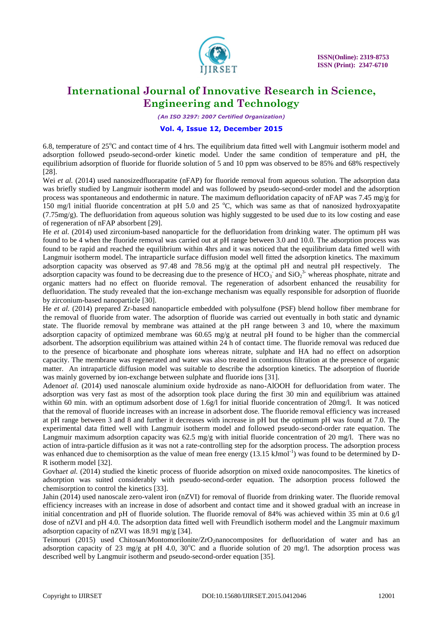

*(An ISO 3297: 2007 Certified Organization)*

### **Vol. 4, Issue 12, December 2015**

6.8, temperature of  $25^{\circ}$ C and contact time of 4 hrs. The equilibrium data fitted well with Langmuir isotherm model and adsorption followed pseudo-second-order kinetic model. Under the same condition of temperature and pH, the equilibrium adsorption of fluoride for fluoride solution of 5 and 10 ppm was observed to be 85% and 68% respectively [28].

Wei *et al.* (2014) used nanosizedfluorapatite (nFAP) for fluoride removal from aqueous solution. The adsorption data was briefly studied by Langmuir isotherm model and was followed by pseudo-second-order model and the adsorption process was spontaneous and endothermic in nature. The maximum defluoridation capacity of nFAP was 7.45 mg/g for 150 mg/l initial fluoride concentration at pH 5.0 and 25  $^{\circ}$ C, which was same as that of nanosized hydroxyapatite  $(7.75 \text{mg/g})$ . The defluoridation from aqueous solution was highly suggested to be used due to its low costing and ease of regeneration of nFAP absorbent [29].

He *et al.* (2014) used zirconium-based nanoparticle for the defluoridation from drinking water. The optimum pH was found to be 4 when the fluoride removal was carried out at pH range between 3.0 and 10.0. The adsorption process was found to be rapid and reached the equilibrium within 4hrs and it was noticed that the equilibrium data fitted well with Langmuir isotherm model. The intraparticle surface diffusion model well fitted the adsorption kinetics. The maximum adsorption capacity was observed as 97.48 and 78.56 mg/g at the optimal pH and neutral pH respectively. The adsorption capacity was found to be decreasing due to the presence of  $\text{HCO}_3^-$  and  $\text{SiO}_2^3$  whereas phosphate, nitrate and organic matters had no effect on fluoride removal. The regeneration of adsorbent enhanced the reusability for defluoridation. The study revealed that the ion-exchange mechanism was equally responsible for adsorption of fluoride by zirconium-based nanoparticle [30].

He *et al.* (2014) prepared Zr-based nanoparticle embedded with polysulfone (PSF) blend hollow fiber membrane for the removal of fluoride from water. The adsorption of fluoride was carried out eventually in both static and dynamic state. The fluoride removal by membrane was attained at the pH range between 3 and 10, where the maximum adsorption capacity of optimized membrane was 60.65 mg/g at neutral pH found to be higher than the commercial adsorbent. The adsorption equilibrium was attained within 24 h of contact time. The fluoride removal was reduced due to the presence of bicarbonate and phosphate ions whereas nitrate, sulphate and HA had no effect on adsorption capacity. The membrane was regenerated and water was also treated in continuous filtration at the presence of organic matter. An intraparticle diffusion model was suitable to describe the adsorption kinetics. The adsorption of fluoride was mainly governed by ion-exchange between sulphate and fluoride ions [31].

Adeno*et al.* (2014) used nanoscale aluminium oxide hydroxide as nano-AlOOH for defluoridation from water. The adsorption was very fast as most of the adsorption took place during the first 30 min and equilibrium was attained within 60 min. with an optimum adsorbent dose of 1.6g/l for initial fluoride concentration of 20mg/l. It was noticed that the removal of fluoride increases with an increase in adsorbent dose. The fluoride removal efficiency was increased at pH range between 3 and 8 and further it decreases with increase in pH but the optimum pH was found at 7.0. The experimental data fitted well with Langmuir isotherm model and followed pseudo-second-order rate equation. The Langmuir maximum adsorption capacity was  $62.5 \text{ mg/g}$  with initial fluoride concentration of 20 mg/l. There was no action of intra-particle diffusion as it was not a rate-controlling step for the adsorption process. The adsorption process was enhanced due to chemisorption as the value of mean free energy (13.15 kJmol<sup>-1</sup>) was found to be determined by D-R isotherm model [32].

Govhaet al. (2014) studied the kinetic process of fluoride adsorption on mixed oxide nanocomposites. The kinetics of adsorption was suited considerably with pseudo-second-order equation. The adsorption process followed the chemisorption to control the kinetics [33].

Jahin (2014) used nanoscale zero-valent iron (nZVI) for removal of fluoride from drinking water. The fluoride removal efficiency increases with an increase in dose of adsorbent and contact time and it showed gradual with an increase in initial concentration and pH of fluoride solution. The fluoride removal of 84% was achieved within 35 min at 0.6 g/l dose of nZVI and pH 4.0. The adsorption data fitted well with Freundlich isotherm model and the Langmuir maximum adsorption capacity of nZVI was 18.91 mg/g [34].

Teimouri (2015) used Chitosan/Montomorilonite/ZrO2nanocomposites for defluoridation of water and has an adsorption capacity of 23 mg/g at pH 4.0, 30 $^{\circ}$ C and a fluoride solution of 20 mg/l. The adsorption process was described well by Langmuir isotherm and pseudo-second-order equation [35].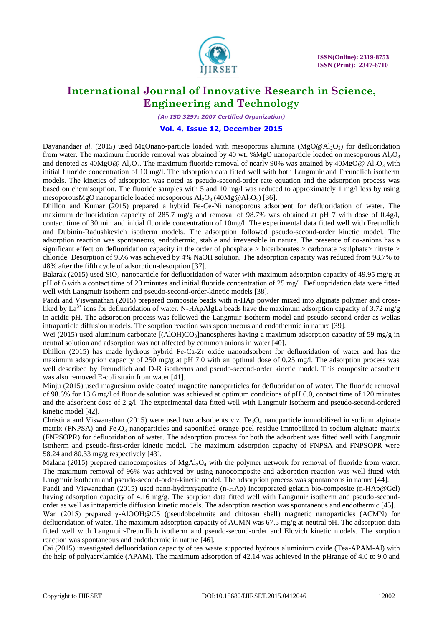

*(An ISO 3297: 2007 Certified Organization)*

### **Vol. 4, Issue 12, December 2015**

Dayananda*et al.* (2015) used MgOnano-particle loaded with mesoporous alumina (MgO@Al<sub>2</sub>O<sub>3</sub>) for defluoridation from water. The maximum fluoride removal was obtained by 40 wt. %MgO nanoparticle loaded on mesoporous  $Al_2O_3$ and denoted as  $40MgO@$  Al<sub>2</sub>O<sub>3</sub>. The maximum fluoride removal of nearly 90% was attained by  $40MgO@$  Al<sub>2</sub>O<sub>3</sub> with initial fluoride concentration of 10 mg/l. The adsorption data fitted well with both Langmuir and Freundlich isotherm models. The kinetics of adsorption was noted as pseudo-second-order rate equation and the adsorption process was based on chemisorption. The fluoride samples with 5 and 10 mg/l was reduced to approximately 1 mg/l less by using mesoporousMgO nanoparticle loaded mesoporous  $\text{Al}_2\text{O}_3$  (40Mg@Al<sub>2</sub>O<sub>3</sub>) [36].

Dhillon and Kumar (2015) prepared a hybrid Fe-Ce-Ni nanoporous adsorbent for defluoridation of water. The maximum defluoridation capacity of 285.7 mg/g and removal of 98.7% was obtained at pH 7 with dose of 0.4g/l, contact time of 30 min and initial fluoride concentration of 10mg/l. The experimental data fitted well with Freundlich and Dubinin-Radushkevich isotherm models. The adsorption followed pseudo-second-order kinetic model. The adsorption reaction was spontaneous, endothermic, stable and irreversible in nature. The presence of co-anions has a significant effect on defluoridation capacity in the order of phosphate  $>$  bicarbonates  $>$  carbonate  $>$ sulphate $>$  nitrate  $>$ chloride. Desorption of 95% was achieved by 4% NaOH solution. The adsorption capacity was reduced from 98.7% to 48% after the fifth cycle of adsorption-desorption [37].

Balarak (2015) used SiO<sub>2</sub> nanoparticle for defluoridation of water with maximum adsorption capacity of 49.95 mg/g at pH of 6 with a contact time of 20 minutes and initial fluoride concentration of 25 mg/l. Defluopridation data were fitted well with Langmuir isotherm and pseudo-second-order-kinetic models [38].

Pandi and Viswanathan (2015) prepared composite beads with n-HAp powder mixed into alginate polymer and crossliked by La<sup>3+</sup> ions for defluoridation of water. N-HApAlgLa beads have the maximum adsorption capacity of 3.72 mg/g in acidic pH. The adsorption process was followed the Langmuir isotherm model and pseudo-second-order as wellas intraparticle diffusion models. The sorption reaction was spontaneous and endothermic in nature [39].

Wei (2015) used aluminum carbonate  $[(AIOH)CO<sub>3</sub>]$ nanospheres having a maximum adsorption capacity of 59 mg/g in neutral solution and adsorption was not affected by common anions in water [40].

Dhillon (2015) has made hydrous hybrid Fe-Ca-Zr oxide nanoadsorbent for defluoridation of water and has the maximum adsorption capacity of 250 mg/g at pH 7.0 with an optimal dose of 0.25 mg/l. The adsorption process was well described by Freundlich and D-R isotherms and pseudo-second-order kinetic model. This composite adsorbent was also removed E-coli strain from water [41].

Minju (2015) used magnesium oxide coated magnetite nanoparticles for defluoridation of water. The fluoride removal of 98.6% for 13.6 mg/l of fluoride solution was achieved at optimum conditions of pH 6.0, contact time of 120 minutes and the adsorbent dose of 2 g/l. The experimental data fitted well with Langmuir isotherm and pseudo-second-ordered kinetic model [42].

Christina and Viswanathan (2015) were used two adsorbents viz.  $Fe<sub>3</sub>O<sub>4</sub>$  nanoparticle immobilized in sodium alginate matrix (FNPSA) and Fe<sub>2</sub>O<sub>3</sub> nanoparticles and saponified orange peel residue immobilized in sodium alginate matrix (FNPSOPR) for defluoridation of water. The adsorption process for both the adsorbent was fitted well with Langmuir isotherm and pseudo-first-order kinetic model. The maximum adsorption capacity of FNPSA and FNPSOPR were 58.24 and 80.33 mg/g respectively [43].

Malana (2015) prepared nanocomposites of  $MgAl<sub>2</sub>O<sub>4</sub>$  with the polymer network for removal of fluoride from water. The maximum removal of 96% was achieved by using nanocomposite and adsorption reaction was well fitted with Langmuir isotherm and pseudo-second-order-kinetic model. The adsorption process was spontaneous in nature [44].

Pandi and Viswanathan (2015) used nano-hydroxyapatite (n-HAp) incorporated gelatin bio-composite (n-HAp@Gel) having adsorption capacity of 4.16 mg/g. The sorption data fitted well with Langmuir isotherm and pseudo-secondorder as well as intraparticle diffusion kinetic models. The adsorption reaction was spontaneous and endothermic [45].

Wan (2015) prepared γ-AlOOH@CS (pseudoboehmite and chitosan shell) magnetic nanoparticles (ACMN) for defluoridation of water. The maximum adsorption capacity of ACMN was 67.5 mg/g at neutral pH. The adsorption data fitted well with Langmuir-Freundlich isotherm and pseudo-second-order and Elovich kinetic models. The sorption reaction was spontaneous and endothermic in nature [46].

Cai (2015) investigated defluoridation capacity of tea waste supported hydrous aluminium oxide (Tea-APAM-Al) with the help of polyacrylamide (APAM). The maximum adsorption of 42.14 was achieved in the pHrange of 4.0 to 9.0 and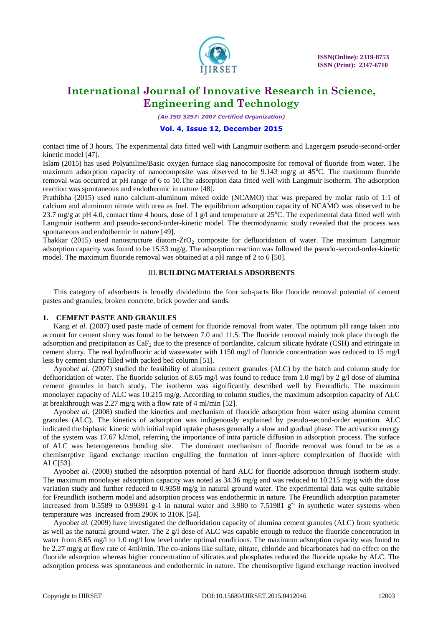

*(An ISO 3297: 2007 Certified Organization)*

### **Vol. 4, Issue 12, December 2015**

contact time of 3 hours. The experimental data fitted well with Langmuir isotherm and Lagergern pseudo-second-order kinetic model [47].

Islam (2015) has used Polyaniline/Basic oxygen furnace slag nanocomposite for removal of fluoride from water. The maximum adsorption capacity of nanocomposite was observed to be 9.143 mg/g at  $45^{\circ}$ C. The maximum fluoride removal was occurred at pH range of 6 to 10.The adsorption data fitted well with Langmuir isotherm. The adsorption reaction was spontaneous and endothermic in nature [48].

Prathibha (2015) used nano calcium-aluminum mixed oxide (NCAMO) that was prepared by molar ratio of 1:1 of calcium and aluminum nitrate with urea as fuel. The equilibrium adsorption capacity of NCAMO was observed to be 23.7 mg/g at pH 4.0, contact time 4 hours, dose of 1 g/l and temperature at  $25^{\circ}$ C. The experimental data fitted well with Langmuir isotherm and pseudo-second-order-kinetic model. The thermodynamic study revealed that the process was spontaneous and endothermic in nature [49].

Thakkar (2015) used nanostructure diatom-ZrO<sub>2</sub> composite for defluoridation of water. The maximum Langmuir adsorption capacity was found to be 15.53 mg/g. The adsorption reaction was followed the pseudo-second-order-kinetic model. The maximum fluoride removal was obtained at a pH range of 2 to 6 [50].

### III. **BUILDING MATERIALS ADSORBENTS**

This category of adsorbents is broadly dividedinto the four sub-parts like fluoride removal potential of cement pastes and granules, broken concrete, brick powder and sands.

### **1. CEMENT PASTE AND GRANULES**

Kang *et al.* (2007) used paste made of cement for fluoride removal from water. The optimum pH range taken into account for cement slurry was found to be between 7.0 and 11.5. The fluoride removal mainly took place through the adsorption and precipitation as  $CaF<sub>2</sub>$  due to the presence of portlandite, calcium silicate hydrate (CSH) and ettringate in cement slurry. The real hydrofluoric acid wastewater with 1150 mg/l of fluoride concentration was reduced to 15 mg/l less by cement slurry filled with packed bed column [51].

Ayoob*et al.* (2007) studied the feasibility of alumina cement granules (ALC) by the batch and column study for defluoridation of water. The fluoride solution of 8.65 mg/l was found to reduce from 1.0 mg/l by 2 g/l dose of alumina cement granules in batch study. The isotherm was significantly described well by Freundlich. The maximum monolayer capacity of ALC was 10.215 mg/g. According to column studies, the maximum adsorption capacity of ALC at breakthrough was 2.27 mg/g with a flow rate of 4 ml/min [52].

Ayoob*et al.* (2008) studied the kinetics and mechanism of fluoride adsorption from water using alumina cement granules (ALC). The kinetics of adsorption was indigenously explained by pseudo-second-order equation. ALC indicated the biphasic kinetic with initial rapid uptake phases generally a slow and gradual phase. The activation energy of the system was 17.67 kJ/mol, referring the importance of intra particle diffusion in adsorption process. The surface of ALC was heterogeneous bonding site. The dominant mechanism of fluoride removal was found to be as a chemisorptive ligand exchange reaction engulfing the formation of inner-sphere complexation of fluoride with ALC[53].

Ayoob*et al.* (2008) studied the adsorption potential of hard ALC for fluoride adsorption through isotherm study. The maximum monolayer adsorption capacity was noted as 34.36 mg/g and was reduced to 10.215 mg/g with the dose variation study and further reduced to 0.9358 mg/g in natural ground water. The experimental data was quite suitable for Freundlich isotherm model and adsorption process was endothermic in nature. The Freundlich adsorption parameter increased from 0.5589 to 0.99391 g-1 in natural water and 3.980 to 7.51981  $g^{-1}$  in synthetic water systems when temperature was increased from 290K to 310K [54].

Ayoob*et al.* (2009) have investigated the defluoridation capacity of alumina cement granules (ALC) from synthetic as well as the natural ground water. The 2 g/l dose of ALC was capable enough to reduce the fluoride concentration in water from 8.65 mg/l to 1.0 mg/l low level under optimal conditions. The maximum adsorption capacity was found to be 2.27 mg/g at flow rate of 4ml/min. The co-anions like sulfate, nitrate, chloride and bicarbonates had no effect on the fluoride adsorption whereas higher concentration of silicates and phosphates reduced the fluoride uptake by ALC. The adsorption process was spontaneous and endothermic in nature. The chemisorptive ligand exchange reaction involved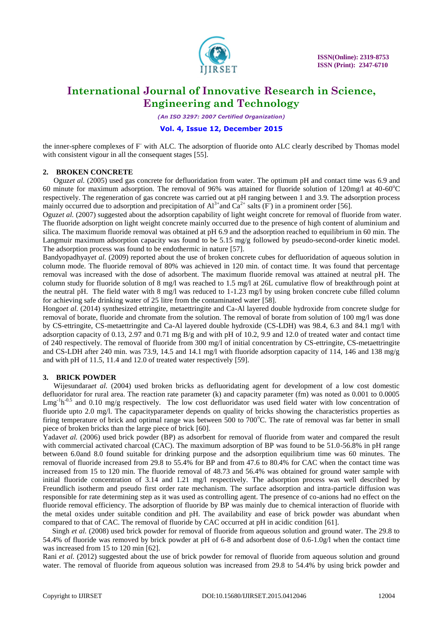

*(An ISO 3297: 2007 Certified Organization)*

### **Vol. 4, Issue 12, December 2015**

the inner-sphere complexes of F with ALC. The adsorption of fluoride onto ALC clearly described by Thomas model with consistent vigour in all the consequent stages [55].

### **2. BROKEN CONCRETE**

Oguz*et al.* (2005) used gas concrete for defluoridation from water. The optimum pH and contact time was 6.9 and 60 minute for maximum adsorption. The removal of 96% was attained for fluoride solution of 120mg/l at 40-60 $^{\circ}$ C respectively. The regeneration of gas concrete was carried out at pH ranging between 1 and 3.9. The adsorption process mainly occurred due to adsorption and precipitation of  $Al^{3+}$  and  $Ca^{2+}$  salts (F) in a prominent order [56].

Oguz*et al.* (2007) suggested about the adsorption capability of light weight concrete for removal of fluoride from water. The fluoride adsorption on light weight concrete mainly occurred due to the presence of high content of aluminium and silica. The maximum fluoride removal was obtained at pH 6.9 and the adsorption reached to equilibrium in 60 min. The Langmuir maximum adsorption capacity was found to be 5.15 mg/g followed by pseudo-second-order kinetic model. The adsorption process was found to be endothermic in nature [57].

Bandyopadhyay*et al.* (2009) reported about the use of broken concrete cubes for defluoridation of aqueous solution in column mode. The fluoride removal of 80% was achieved in 120 min. of contact time. It was found that percentage removal was increased with the dose of adsorbent. The maximum fluoride removal was attained at neutral pH. The column study for fluoride solution of 8 mg/l was reached to 1.5 mg/l at 26L cumulative flow of breakthrough point at the neutral pH. The field water with  $8 \text{ mg/l}$  was reduced to 1-1.23 mg/l by using broken concrete cube filled column for achieving safe drinking water of 25 litre from the contaminated water [58].

Hongo*et al.* (2014) synthesized ettringite, metaettringite and Ca-Al layered double hydroxide from concrete sludge for removal of borate, fluoride and chromate from the solution. The removal of borate from solution of 100 mg/l was done by CS-ettringite, CS-metaettringite and Ca-Al layered double hydroxide (CS-LDH) was 98.4, 6.3 and 84.1 mg/l with adsorption capacity of 0.13, 2.97 and 0.71 mg B/g and with pH of 10.2, 9.9 and 12.0 of treated water and contact time of 240 respectively. The removal of fluoride from 300 mg/l of initial concentration by CS-ettringite, CS-metaettringite and CS-LDH after 240 min. was 73.9, 14.5 and 14.1 mg/l with fluoride adsorption capacity of 114, 146 and 138 mg/g and with pH of 11.5, 11.4 and 12.0 of treated water respectively [59].

### **3. BRICK POWDER**

Wijesundara*et al.* (2004) used broken bricks as defluoridating agent for development of a low cost domestic defluoridator for rural area. The reaction rate parameter (k) and capacity parameter (fm) was noted as 0.001 to 0.0005  $Lmg<sup>-1</sup>h<sup>-0.5</sup>$  and 0.10 mg/g respectively. The low cost defluoridator was used field water with low concentration of fluoride upto 2.0 mg/l. The capacityparameter depends on quality of bricks showing the characteristics properties as firing temperature of brick and optimal range was between  $500$  to  $700^{\circ}$ C. The rate of removal was far better in small piece of broken bricks than the large piece of brick [60].

Yadav*et al.* (2006) used brick powder (BP) as adsorbent for removal of fluoride from water and compared the result with commercial activated charcoal (CAC). The maximum adsorption of BP was found to be 51.0-56.8% in pH range between 6.0and 8.0 found suitable for drinking purpose and the adsorption equilibrium time was 60 minutes. The removal of fluoride increased from 29.8 to 55.4% for BP and from 47.6 to 80.4% for CAC when the contact time was increased from 15 to 120 min. The fluoride removal of 48.73 and 56.4% was obtained for ground water sample with initial fluoride concentration of 3.14 and 1.21 mg/l respectively. The adsorption process was well described by Freundlich isotherm and pseudo first order rate mechanism. The surface adsorption and intra-particle diffusion was responsible for rate determining step as it was used as controlling agent. The presence of co-anions had no effect on the fluoride removal efficiency. The adsorption of fluoride by BP was mainly due to chemical interaction of fluoride with the metal oxides under suitable condition and pH. The availability and ease of brick powder was abundant when compared to that of CAC. The removal of fluoride by CAC occurred at pH in acidic condition [61].

 Singh *et al.* (2008) used brick powder for removal of fluoride from aqueous solution and ground water. The 29.8 to 54.4% of fluoride was removed by brick powder at pH of 6-8 and adsorbent dose of 0.6-1.0g/l when the contact time was increased from 15 to 120 min [62].

Rani *et al.* (2012) suggested about the use of brick powder for removal of fluoride from aqueous solution and ground water. The removal of fluoride from aqueous solution was increased from 29.8 to 54.4% by using brick powder and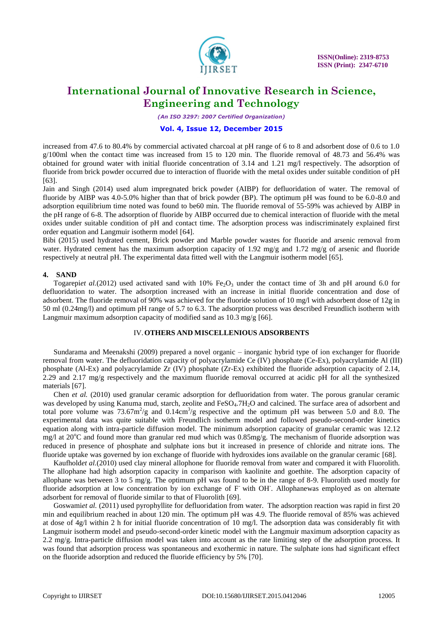

*(An ISO 3297: 2007 Certified Organization)*

### **Vol. 4, Issue 12, December 2015**

increased from 47.6 to 80.4% by commercial activated charcoal at pH range of 6 to 8 and adsorbent dose of 0.6 to 1.0 g/100ml when the contact time was increased from 15 to 120 min. The fluoride removal of 48.73 and 56.4% was obtained for ground water with initial fluoride concentration of 3.14 and 1.21 mg/l respectively. The adsorption of fluoride from brick powder occurred due to interaction of fluoride with the metal oxides under suitable condition of pH [63].

Jain and Singh (2014) used alum impregnated brick powder (AIBP) for defluoridation of water. The removal of fluoride by AIBP was 4.0-5.0% higher than that of brick powder (BP). The optimum pH was found to be 6.0-8.0 and adsorption equilibrium time noted was found to be60 min. The fluoride removal of 55-59% was achieved by AIBP in the pH range of 6-8. The adsorption of fluoride by AIBP occurred due to chemical interaction of fluoride with the metal oxides under suitable condition of pH and contact time. The adsorption process was indiscriminately explained first order equation and Langmuir isotherm model [64].

Bibi (2015) used hydrated cement, Brick powder and Marble powder wastes for fluoride and arsenic removal from water. Hydrated cement has the maximum adsorption capacity of 1.92 mg/g and 1.72 mg/g of arsenic and fluoride respectively at neutral pH. The experimental data fitted well with the Langmuir isotherm model [65].

### **4. SAND**

Togarepiet al.(2012) used activated sand with  $10\%$  Fe<sub>2</sub>O<sub>3</sub> under the contact time of 3h and pH around 6.0 for defluoridation to water. The adsorption increased with an increase in initial fluoride concentration and dose of adsorbent. The fluoride removal of 90% was achieved for the fluoride solution of 10 mg/l with adsorbent dose of 12g in 50 ml (0.24mg/l) and optimum pH range of 5.7 to 6.3. The adsorption process was described Freundlich isotherm with Langmuir maximum adsorption capacity of modified sand as 10.3 mg/g [66].

### IV.**OTHERS AND MISCELLENIOUS ADSORBENTS**

Sundarama and Meenakshi (2009) prepared a novel organic – inorganic hybrid type of ion exchanger for fluoride removal from water. The defluoridation capacity of polyacrylamide Ce (IV) phosphate (Ce-Ex), polyacrylamide Al (III) phosphate (Al-Ex) and polyacrylamide Zr (IV) phosphate (Zr-Ex) exhibited the fluoride adsorption capacity of 2.14, 2.29 and 2.17 mg/g respectively and the maximum fluoride removal occurred at acidic pH for all the synthesized materials [67].

Chen *et al.* (2010) used granular ceramic adsorption for defluoridation from water. The porous granular ceramic was developed by using Kanuma mud, starch, zeolite and FeSO<sub>4</sub>.7H<sub>2</sub>O and calcined. The surface area of adsorbent and total pore volume was  $73.67 \text{m}^2/\text{g}$  and  $0.14 \text{cm}^3/\text{g}$  respective and the optimum pH was between 5.0 and 8.0. The experimental data was quite suitable with Freundlich isotherm model and followed pseudo-second-order kinetics equation along with intra-particle diffusion model. The minimum adsorption capacity of granular ceramic was 12.12 mg/l at 20 $^{\circ}$ C and found more than granular red mud which was 0.85mg/g. The mechanism of fluoride adsorption was reduced in presence of phosphate and sulphate ions but it increased in presence of chloride and nitrate ions. The fluoride uptake was governed by ion exchange of fluoride with hydroxides ions available on the granular ceramic [68].

Kaufhold*et al.*(2010) used clay mineral allophone for fluoride removal from water and compared it with Fluorolith. The allophane had high adsorption capacity in comparison with kaolinite and goethite. The adsorption capacity of allophane was between 3 to 5 mg/g. The optimum pH was found to be in the range of 8-9. Fluorolith used mostly for fluoride adsorption at low concentration by ion exchange of F with OH. Allophanewas employed as on alternate adsorbent for removal of fluoride similar to that of Fluorolith [69].

Goswamiet al. (2011) used pyrophyllite for defluoridation from water. The adsorption reaction was rapid in first 20 min and equilibrium reached in about 120 min. The optimum pH was 4.9. The fluoride removal of 85% was achieved at dose of  $4g/l$  within 2 h for initial fluoride concentration of 10 mg/l. The adsorption data was considerably fit with Langmuir isotherm model and pseudo-second-order kinetic model with the Langmuir maximum adsorption capacity as 2.2 mg/g. Intra-particle diffusion model was taken into account as the rate limiting step of the adsorption process. It was found that adsorption process was spontaneous and exothermic in nature. The sulphate ions had significant effect on the fluoride adsorption and reduced the fluoride efficiency by 5% [70].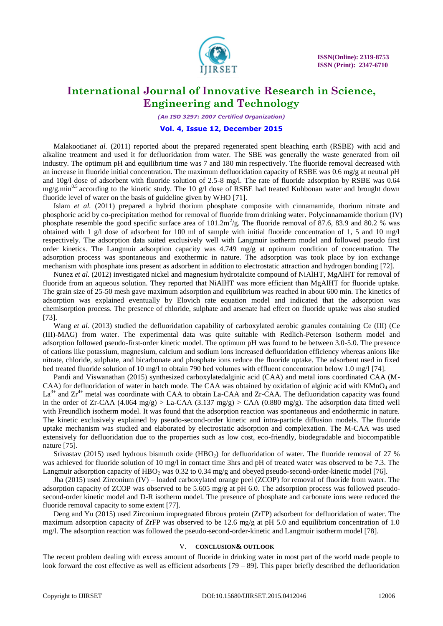

*(An ISO 3297: 2007 Certified Organization)*

### **Vol. 4, Issue 12, December 2015**

Malakootianet al. (2011) reported about the prepared regenerated spent bleaching earth (RSBE) with acid and alkaline treatment and used it for defluoridation from water. The SBE was generally the waste generated from oil industry. The optimum pH and equilibrium time was 7 and 180 min respectively. The fluoride removal decreased with an increase in fluoride initial concentration. The maximum defluoridation capacity of RSBE was 0.6 mg/g at neutral pH and 10g/l dose of adsorbent with fluoride solution of 2.5-8 mg/l. The rate of fluoride adsorption by RSBE was 0.64 mg/g.min<sup>0.5</sup> according to the kinetic study. The 10 g/l dose of RSBE had treated Kuhbonan water and brought down fluoride level of water on the basis of guideline given by WHO [71].

Islam *et al.* (2011) prepared a hybrid thorium phosphate composite with cinnamamide, thorium nitrate and phosphoric acid by co-precipitation method for removal of fluoride from drinking water. Polycinnamamide thorium (IV) phosphate resemble the good specific surface area of  $101.2 \text{m}^2/\text{g}$ . The fluoride removal of 87.6, 83.9 and 80.2 % was obtained with 1 g/l dose of adsorbent for 100 ml of sample with initial fluoride concentration of 1, 5 and 10 mg/l respectively. The adsorption data suited exclusively well with Langmuir isotherm model and followed pseudo first order kinetics. The Langmuir adsorption capacity was 4.749 mg/g at optimum condition of concentration. The adsorption process was spontaneous and exothermic in nature. The adsorption was took place by ion exchange mechanism with phosphate ions present as adsorbent in addition to electrostatic attraction and hydrogen bonding [72].

Nunez *et al.* (2012) investigated nickel and magnesium hydrotalcite compound of NiAlHT, MgAlHT for removal of fluoride from an aqueous solution. They reported that NiAlHT was more efficient than MgAlHT for fluoride uptake. The grain size of 25-50 mesh gave maximum adsorption and equilibrium was reached in about 600 min. The kinetics of adsorption was explained eventually by Elovich rate equation model and indicated that the adsorption was chemisorption process. The presence of chloride, sulphate and arsenate had effect on fluoride uptake was also studied [73].

Wang *et al.* (2013) studied the defluoridation capability of carboxylated aerobic granules containing Ce (III) (Ce (III)-MAG) from water. The experimental data was quite suitable with Redlich-Peterson isotherm model and adsorption followed pseudo-first-order kinetic model. The optimum pH was found to be between 3.0-5.0. The presence of cations like potassium, magnesium, calcium and sodium ions increased defluoridation efficiency whereas anions like nitrate, chloride, sulphate, and bicarbonate and phosphate ions reduce the fluoride uptake. The adsorbent used in fixed bed treated fluoride solution of 10 mg/l to obtain 790 bed volumes with effluent concentration below 1.0 mg/l [74].

Pandi and Viswanathan (2015) synthesized carboxylatedalginic acid (CAA) and metal ions coordinated CAA (M-CAA) for defluoridation of water in batch mode. The CAA was obtained by oxidation of alginic acid with  $KMnO<sub>4</sub>$  and  $La^{3+}$  and  $Zr^{4+}$  metal was coordinate with CAA to obtain La-CAA and Zr-CAA. The defluoridation capacity was found in the order of Zr-CAA (4.064 mg/g) > La-CAA (3.137 mg/g) > CAA (0.880 mg/g). The adsorption data fitted well with Freundlich isotherm model. It was found that the adsorption reaction was spontaneous and endothermic in nature. The kinetic exclusively explained by pseudo-second-order kinetic and intra-particle diffusion models. The fluoride uptake mechanism was studied and elaborated by electrostatic adsorption and complexation. The M-CAA was used extensively for defluoridation due to the properties such as low cost, eco-friendly, biodegradable and biocompatible nature [75].

Srivastav (2015) used hydrous bismuth oxide (HBO<sub>2</sub>) for defluoridation of water. The fluoride removal of 27 % was achieved for fluoride solution of 10 mg/l in contact time 3hrs and pH of treated water was observed to be 7.3. The Langmuir adsorption capacity of HBO<sub>2</sub> was 0.32 to 0.34 mg/g and obeyed pseudo-second-order-kinetic model [76].

Jha (2015) used Zirconium (IV) – loaded carboxylated orange peel (ZCOP) for removal of fluoride from water. The adsorption capacity of ZCOP was observed to be 5.605 mg/g at pH 6.0. The adsorption process was followed pseudosecond-order kinetic model and D-R isotherm model. The presence of phosphate and carbonate ions were reduced the fluoride removal capacity to some extent [77].

Deng and Yu (2015) used Zirconium impregnated fibrous protein (ZrFP) adsorbent for defluoridation of water. The maximum adsorption capacity of ZrFP was observed to be 12.6 mg/g at pH 5.0 and equilibrium concentration of 1.0 mg/l. The adsorption reaction was followed the pseudo-second-order-kinetic and Langmuir isotherm model [78].

#### V. **CONCLUSION& OUTLOOK**

The recent problem dealing with excess amount of fluoride in drinking water in most part of the world made people to look forward the cost effective as well as efficient adsorbents [79 – 89]. This paper briefly described the defluoridation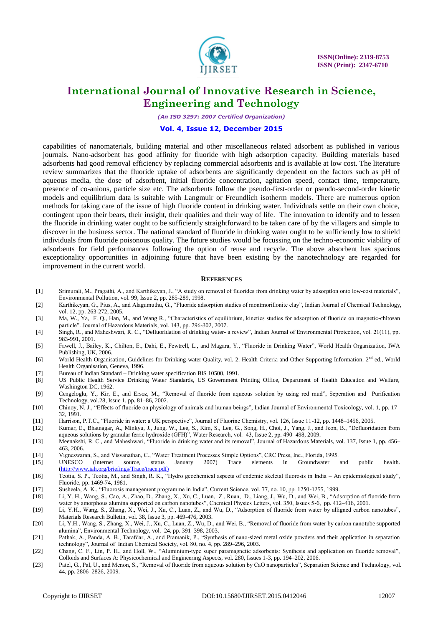

*(An ISO 3297: 2007 Certified Organization)*

### **Vol. 4, Issue 12, December 2015**

capabilities of nanomaterials, building material and other miscellaneous related adsorbent as published in various journals. Nano-adsorbent has good affinity for fluoride with high adsorption capacity. Building materials based adsorbents had good removal efficiency by replacing commercial adsorbents and is available at low cost. The literature review summarizes that the fluoride uptake of adsorbents are significantly dependent on the factors such as pH of aqueous media, the dose of adsorbent, initial fluoride concentration, agitation speed, contact time, temperature, presence of co-anions, particle size etc. The adsorbents follow the pseudo-first-order or pseudo-second-order kinetic models and equilibrium data is suitable with Langmuir or Freundlich isotherm models. There are numerous option methods for taking care of the issue of high fluoride content in drinking water. Individuals settle on their own choice, contingent upon their bears, their insight, their qualities and their way of life. The innovation to identify and to lessen the fluoride in drinking water ought to be sufficiently straightforward to be taken care of by the villagers and simple to discover in the business sector. The national standard of fluoride in drinking water ought to be sufficiently low to shield individuals from fluoride poisonous quality. The future studies would be focussing on the techno-economic viability of adsorbents for field performances following the option of reuse and recycle. The above absorbent has spacious exceptionality opportunities in adjoining future that have been existing by the nanotechnology are regarded for improvement in the current world.

#### **REFERENCES**

- [1] Srimurali, M., Pragathi, A., and Karthikeyan, J., "A study on removal of fluorides from drinking water by adsorption onto low-cost materials", Environmental Pollution, vol. 99, Issue 2, pp. 285-289, 1998.
- [2] Karthikeyan, G., Pius, A., and Alagumuthu, G., "Fluoride adsorption studies of montmorillonite clay", Indian Journal of Chemical Technology, vol. 12, pp. 263-272, 2005.
- [3] Ma, W., Ya, F. Q., Han, M., and Wang R., "Characteristics of equilibrium, kinetics studies for adsorption of fluoride on magnetic-chitosan particle". Journal of Hazardous Materials, vol. 143, pp. 296-302, 2007.
- [4] Singh, R., and Maheshwari, R. C., "Defluoridation of drinking water- a review", Indian Journal of Environmental Ptrotection, vol. 21(11), pp. 983-991, 2001.
- [5] Fawell, J., Bailey, K., Chilton, E., Dahi, E., Fewtrell, L., and Magara, Y., "Fluoride in Drinking Water", World Health Organization, IWA Publishing, UK, 2006.
- [6] World Health Organisation, Guidelines for Drinking-water Quality, vol. 2. Health Criteria and Other Supporting Information, 2<sup>nd</sup> ed., World Health Organisation, Geneva, 1996.
- [7] Bureau of Indian Standard Drinking water specification BIS 10500, 1991.
- [8] US Public Health Service Drinking Water Standards, US Government Printing Office, Department of Health Education and Welfare, Washington DC, 1962.
- [9] Cengeloglu, Y., Kir, E., and Ersoz, M., "Removal of fluoride from aqueous solution by using red mud", Seperation and Purification Technology, vol.28, Issue 1, pp. 81–86, 2002.
- [10] Chinoy, N. J., "Effects of fluoride on physiology of animals and human beings", Indian Journal of Environmental Toxicology, vol. 1, pp. 17– 32, 1991.
- [11] Harrison, P.T.C., "Fluoride in water: a UK perspective", Journal of Fluorine Chemistry, vol. 126, Issue 11-12, pp. 1448–1456, 2005.
- [12] Kumar, E., Bhatnagar, A., Minkyu, J., Jung, W., Lee, S., Kim, S., Lee, G., Song, H., Choi, J., Yang, J., and Jeon, B., "Defluoridation from aqueous solutions by granular ferric hydroxide (GFH)", Water Research, vol. 43, Issue 2, pp. 490–498, 2009.
- [13] Meenakshi, R. C., and Maheshwari, "Fluoride in drinking water and its removal", Journal of Hazardous Materials, vol. 137, Issue 1, pp. 456– 463, 2006.
- [14] Vigneswaran, S., and Visvanathan, C., "Water Treatment Processes Simple Options", CRC Press, Inc., Florida, 1995.
- [15] UNESCO (internet source, status January 2007) Trace elements in Groundwater and public health. [\(http://www.iah.org/briefings/Trace/trace.pdf\)](http://www.iah.org/briefings/Trace/trace.pdf)
- [16] Teotia, S. P., Teotia, M., and Singh, R. K., "Hydro geochemical aspects of endemic skeletal fluorosis in India An epidemiological study", Fluoride, pp. 1469-74, 1981.
- [17] Susheela, A. K., "Fluorosis management programme in India", Current Science, vol. 77, no. 10, pp. 1250-1255, 1999.
- [18] Li, Y. H., Wang, S., Cao, A., Zhao, D., Zhang, X., Xu, C., Luan, Z., Ruan, D., Liang, J., Wu, D., and Wei, B., "Adsorption of fluoride from water by amorphous alumina supported on carbon nanotubes", Chemical Physics Letters, vol. 350, Issues 5-6, pp. 412–416, 2001.
- [19] Li, Y.H., Wang, S., Zhang, X., Wei, J., Xu, C., Luan, Z., and Wu, D., "Adsorption of fluoride from water by alligned carbon nanotubes", Materials Research Bulletin, vol. 38, Issue 3, pp. 469-476, 2003.
- [20] Li, Y.H., Wang, S., Zhang, X., Wei, J., Xu, C., Luan, Z., Wu, D., and Wei, B., "Removal of fluoride from water by carbon nanotube supported alumina", Environmental Technology, vol. 24, pp. 391–398, 2003.
- [21] Pathak, A., Panda, A. B., Tarafdar, A., and Pramanik, P., "Synthesis of nano-sized metal oxide powders and their application in separation technology", Journal of Indian Chemical Society, vol. 80, no. 4, pp. 289–296, 2003.
- [22] Chang, C. F., Lin, P. H., and Holl, W., "Aluminium-type super paramagnetic adsorbents: Synthesis and application on fluoride removal", Colloids and Surfaces A: Physicochemical and Engineering Aspects, vol. 280, Issues 1-3, pp. 194–202, 2006.
- [23] Patel, G., Pal, U., and Menon, S., "Removal of fluoride from aqueous solution by CaO nanoparticles", Separation Science and Technology, vol. 44, pp. 2806–2826, 2009.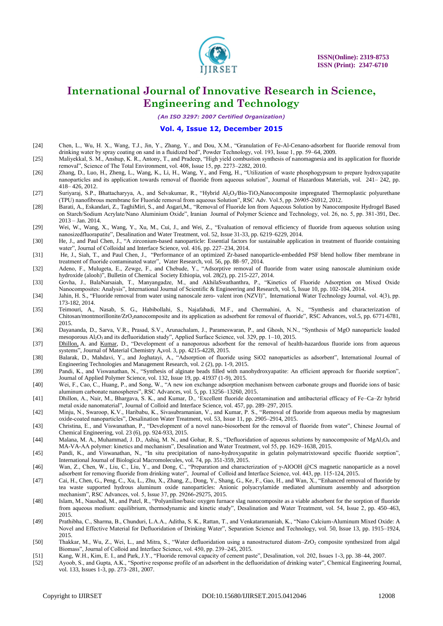

*(An ISO 3297: 2007 Certified Organization)*

#### **Vol. 4, Issue 12, December 2015**

- [24] Chen, L., Wu, H. X., Wang, T.J., Jin, Y., Zhang, Y., and Dou, X.M., "Granulation of Fe-Al-Cenano-adsorbent for fluoride removal from drinking water by spray coating on sand in a fluidized bed", Powder Technology, vol. 193, Issue 1, pp. 59–64, 2009.
- [25] Maliyekkal, S. M., Anshup, K. R., Antony, T., and Pradeep, "High yield combustion synthesis of nanomagnesia and its application for fluoride removal", Science of The Total Environment, vol. 408, Issue 15, pp. 2273–2282, 2010.
- [26] Zhang, D., Luo, H., Zheng, L., Wang, K., Li, H., Wang, Y., and Feng, H., "Utilization of waste phosphogypsum to prepare hydroxyapatite nanoparticles and its application towards removal of fluoride from aqueous solution", Journal of Hazardous Materials, vol. 241– 242, pp. 418– 426, 2012.
- [27] Suriyaraj, S.P., Bhattacharyya, A., and Selvakumar, R., "Hybrid Al2O3/Bio-TiO2Nanocomposite impregnated Thermoplastic polyurethane (TPU) nanofibrous membrane for Fluoride removal from aqueous Solution", RSC Adv. Vol.5, pp. 26905-26912, 2012.
- [28] Barati, A., Eskandari, Z., TaghiMiri, S., and Asgari,M., "Removal of Fluoride Ion from Aqueous Solution by Nanocomposite Hydrogel Based on Starch/Sodium Acrylate/Nano Aluminium Oxide", Iranian Journal of Polymer Science and Technology, vol. 26, no. 5, pp. 381-391, Dec. 2013 – Jan. 2014.
- [29] Wei, W., Wang, X., Wang, Y., Xu, M., Cui, J., and Wei, Z., "Evaluation of removal efficiency of fluoride from aqueous solution using nanosizedfluorapatite", Desalination and Water Treatment, vol. 52, Issue 31-33, pp. 6219–6229, 2014.
- [30] [He,](http://www.sciencedirect.com/science/article/pii/S0021979713009326) J., and [Paul Chen,](http://www.sciencedirect.com/science/article/pii/S0021979713009326) J., "A zirconium-based nanoparticle: Essential factors for sustainable application in treatment of fluoride containing water", Journal of Colloidal and Interface Science, vol[. 416,](http://www.sciencedirect.com/science/journal/00219797/416/supp/C) pp. 227–234, 2014.
- [31] [He,](http://www.sciencedirect.com/science/article/pii/S0043135414001468) J., [Siah,](http://www.sciencedirect.com/science/article/pii/S0043135414001468) T., [and Paul Chen,](http://www.sciencedirect.com/science/article/pii/S0043135414001468) J., "Performance of an optimized Zr-based nanoparticle-embedded PSF blend hollow fiber membrane in treatment of fluoride contaminated water", [Water Research,](http://www.sciencedirect.com/science/journal/00431354) vol. [56,](http://www.sciencedirect.com/science/journal/00431354/56/supp/C) pp. 88–97, 2014.
- [32] Adeno, F., Mulugeta, E., Zewge, F., and Chebude, Y., "Adsorptive removal of fluoride from water using nanoscale aluminium oxide hydroxide (alooh)", Bulletin of Chemical Society Ethiopia, vol. 28(2), pp. 215-227, 2014.
- [33] Govha, J., BalaNarsaiah, T., Manyangadze, M., and AkhilaSwathanthra, P., "Kinetics of Fluoride Adsorption on Mixed Oxide Nanocomposites: Analysis", International Journal of Scientific & Engineering and Research, vol. 5, Issue 10, pp. 102-104, 2014.
- [34] Jahin, H. S., "Fluoride removal from water using nanoscale zero- valent iron (NZVI)", International Water Technology Journal, vol. 4(3), pp. 173-182, 2014.
- [35] Teimouri, A., Nasab, S. G., Habibollahi, S., Najafabadi, M.F., and Chermahini, A. N., "Synthesis and characterization of Chitosan/montmorillonite/ZrO<sub>2</sub>nanocomposite and its application as adsorbent for removal of fluoride", RSC Advances, vol.5, pp. 6771-6781, 2015.
- [36] Dayananda, D., Sarva, V.R., Prasad, S.V., Arunachalam, J., Parameswaran, P., and Ghosh, N.N., "Synthesis of MgO nanoparticle loaded mesoporous Al<sub>2</sub>O<sub>3</sub> and its defluoridation study", Applied Surface Science, vol. 329, pp. 1–10, 2015.
- [37] [Dhillon,](http://pubs.rsc.org/en/results?searchtext=Author%3AAnkita%20Dhillon) A. and [Kumar,](http://pubs.rsc.org/en/results?searchtext=Author%3ADinesh%20Kumar) D., "Development of a nanoporous adsorbent for the removal of health-hazardous fluoride ions from aqueous systems", Journal of Material Chemistry A**,**vol. 3, pp. 4215-4228, 2015.
- [38] Balarak, D., Mahdavi, Y., and Joghatayi, A., "Adsorption of fluoride using SiO2 nanoparticles as adsorbent", International Journal of Engineering Technologies and Management Research, vol. 2 (2), pp. 1-9, 2015.
- [39] Pandi, K., and Viswanathan, N., "Synthesis of alginate beads filled with nanohydroxyapatite: An efficient approach for fluoride sorption", Journal of Applied Polymer Science, vol. 132, Issue 19, pp. 41937 (1-9), 2015.
- [40] Wei, F., Cao, C., Huang, P., and Song, W., "A new ion exchange adsorption mechanism between carbonate groups and fluoride ions of basic aluminum carbonate nanospheres", RSC Advances, vol. 5, pp. 13256–13260, 2015.
- [41] Dhillon, A., Nair, M., Bhargava, S. K., and Kumar, D., "Excellent fluoride decontamination and antibacterial efficacy of Fe–Ca–Zr hybrid metal oxide nanomaterial", Journal of Colloid and Interface Science, vol. 457, pp. 289–297, 2015.
- [42] Minju, N., Swaroop, K.V., Haribabu, K., Sivasubramanian, V., and Kumar, P. S., "Removal of fluoride from aqueous media by magnesium oxide-coated nanoparticles", Desalination Water Treatment, vol. 53, Issue 11, pp. 2905–2914, 2015.
- [43] Christina, E., and Viswanathan, P., "Development of a novel nano-biosorbent for the removal of fluoride from water", Chinese Journal of Chemical Engineering, vol. 23 (6), pp. 924-933, 2015.
- [44] Malana, M. A., Muhammad, J. D., Ashiq, M. N., and Gohar, R. S., "Defluoridation of aqueous solutions by nanocomposite of MgAl<sub>2</sub>O<sub>4</sub> and MA-VA-AA polymer: kinetics and mechanism", Desalination and Water Treatment, vol 55, pp. 1629–1638, 2015.
- [45] Pandi, K., and Viswanathan, N., "In situ precipitation of nano-hydroxyapatite in gelatin polymatrixtoward specific fluoride sorption", International Journal of Biological Macromolecules, vol. 74, pp. 351-359, 2015.
- [46] Wan, Z., Chen, W., Liu, C., Liu, Y., and Dong, C., "Preparation and characterization of γ-AlOOH @CS magnetic nanoparticle as a novel adsorbent for removing fluoride from drinking water", Journal of Colloid and Interface Science, vol. 443, pp. 115-124, 2015.
- [47] Cai, H., Chen, G., Peng, C., Xu, L., Zhu, X., Zhang, Z., Dong, Y., Shang, G., Ke, F., Gao, H., and Wan, X., "Enhanced removal of fluoride by tea waste supported hydrous aluminum oxide nanoparticles: Anionic polyacrylamide mediated aluminum assembly and adsorption mechanism", RSC Advances, vol. 5, Issue 37, pp. 29266-29275, 2015.
- [48] Islam, M., Naushad, M., and Patel, R., "Polyaniline/basic oxygen furnace slag nanocomposite as a viable adsorbent for the sorption of fluoride from aqueous medium: equilibrium, thermodynamic and kinetic study", Desalination and Water Treatment, vol. 54, Issue 2, pp. 450–463, 2015.
- [49] Prathibha, C., Sharma, B., Chunduri, L.A.A., Aditha, S. K., Rattan, T., and Venkataramaniah, K., "Nano Calcium-Aluminum Mixed Oxide: A Novel and Effective Material for Defluoridation of Drinking Water", Separation Science and Technology, vol. 50, Issue 13, pp. 1915–1924, 2015.
- [50] Thakkar, M., Wu, Z., Wei, L., and Mitra, S., "Water defluoridation using a nanostructured diatom–ZrO<sub>2</sub> composite synthesized from algal Biomass", Journal of Colloid and Interface Science, vol. 450, pp. 239–245, 2015.
- [51] Kang, W.H., Kim, E. I., and Park, J.Y., "Fluoride removal capacity of cement paste", Desalination, vol. 202, Issues 1-3, pp. 38–44, 2007.
- [52] Ayoob, S., and Gupta, A.K., "Sportive response profile of an adsorbent in the defluoridation of drinking water", Chemical Engineering Journal, vol. 133, Issues 1-3, pp. 273–281, 2007.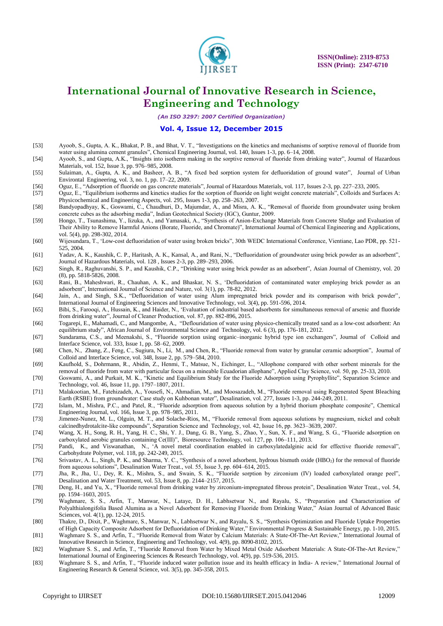

*(An ISO 3297: 2007 Certified Organization)*

### **Vol. 4, Issue 12, December 2015**

- [53] Ayoob, S., Gupta, A. K., Bhakat, P. B., and Bhat, V. T., "Investigations on the kinetics and mechanisms of sorptive removal of fluoride from water using alumina cement granules", Chemical Engineering Journal, vol. 140, Issues 1-3, pp. 6–14, 2008.
- [54] Ayoob, S., and Gupta, A.K., "Insights into isotherm making in the sorptive removal of fluoride from drinking water", Journal of Hazardous Materials, vol. 152, Issue 3, pp. 976–985, 2008.
- [55] Sulaiman, A., Gupta, A. K., and Basheer, A. B., "A fixed bed sorption system for defluoridation of ground water", Journal of Urban Environtal Engineering, vol. 3, no. 1, pp. 17–22, 2009.
- [56] Oguz, E., "Adsorption of fluoride on gas concrete materials", Journal of Hazardous Materials, vol. 117, Issues 2-3, pp. 227–233, 2005.
- [57] Oguz, E., "Equilibrium isotherms and kinetics studies for the sorption of fluoride on light weight concrete materials", Colloids and Surfaces A: Physicochemical and Engineering Aspects, vol. 295, Issues 1-3, pp. 258–263, 2007.
- [58] Bandyopadhyay, K., Goswami, C., Chaudhuri, D., Majumdar, A., and Misra, A. K., "Removal of fluoride from groundwater using broken concrete cubes as the adsorbing media", Indian Geotechnical Society (IGC), Guntur, 2009.
- [59] Hongo, T., Tsunashima, Y., Iizuka, A., and Yamasaki, A., "Synthesis of Anion-Exchange Materials from Concrete Sludge and Evaluation of Their Ability to Remove Harmful Anions (Borate, Fluoride, and Chromate)", International Journal of Chemical Engineering and Applications, vol. 5(4), pp. 298-302, 2014.
- [60] Wijesundara, T., "Low-cost defluoridation of water using broken bricks", 30th WEDC International Conference, Vientiane, Lao PDR, pp. 521- 525, 2004.
- [61] Yadav, A. K., Kaushik, C. P., Haritash, A. K., Kansal, A., and Rani, N., "Defluoridation of groundwater using brick powder as an adsorbent", Journal of Hazardous Materials, vol. 128 , Issues 2-3, pp. 289–293, 2006.
- [62] Singh, R., Raghuvanshi, S. P., and Kaushik, C.P., "Drinking water using brick powder as an adsorbent", Asian Journal of Chemistry, vol. 20 (8), pp. 5818-5826, 2008.
- [63] Rani, B., Maheshwari, R., Chauhan, A. K., and Bhaskar, N. S., "Defluoridation of contaminated water employing brick powder as an adsorbent", International Journal of Science and Nature, vol. 3(1), pp. 78-82, 2012.
- [64] Jain, A., and Singh, S.K., "Defluoridation of water using Alum impregnated brick powder and its comparison with brick powder", International Journal of Engineering Sciences and Innovative Technology, vol. 3(4), pp. 591-596, 2014.
- [65] Bibi, S., Farooqi, A., Hussain, K., and Haider, N., "Evaluation of industrial based adsorbents for simultaneous removal of arsenic and fluoride from drinking water", Journal of Cleaner Production, vol. 87, pp. 882-896, 2015.
- [66] Togarepi, E., Mahamadi, C., and Mangombe, A., "Deflouridation of water using physico-chemically treated sand as a low-cost adsorbent: An equilibrium study", African Journal of Environmental Science and Technology, vol. 6 (3), pp. 176-181, 2012.
- [67] Sundarama, C.S., and Meenakshi, S., "Fluoride sorption using organic–inorganic hybrid type ion exchangers", Journal of Colloid and Interface Science, vol. 333, Issue 1, pp. 58–62, 2009.
- [68] Chen, N., Zhang, Z., Feng, C., Sugiura, N., Li, M., and Chen, R., "Fluoride removal from water by granular ceramic adsorption", Journal of Colloid and Interface Science, vol. 348, Issue 2, pp. 579–584, 2010.
- [69] Kaufhold, S., Dohrmann, R., Abidin, Z., Henmi, T., Matsue, N., Eichinger, L., "Allophone compared with other sorbent minerals for the removal of fluoride from water with particular focus on a mineable Ecuadorian allophane", Applied Clay Science, vol. 50, pp. 25-33, 2010.
- [70] Goswami, A., and Purkait, M. K., "Kinetic and Equilibrium Study for the Fluoride Adsorption using Pyrophyllite", Separation Science and Technology, vol. 46, Issue 11, pp. 1797–1807, 2011.
- [71] Malakootian, M., Fatehizadeh, A., Yousefi, N., Ahmadian, M., and Moosazadeh, M., "Fluoride removal using Regenerated Spent Bleaching Earth (RSBE) from groundwater: Case study on Kuhbonan water", Desalination, vol. 277, Issues 1-3, pp. 244-249, 2011.
- [72] Islam, M., Mishra, P.C., and Patel, R., "Fluoride adsorption from aqueous solution by a hybrid thorium phosphate composite", Chemical Engineering Journal, vol. 166, Issue 3, pp. 978–985, 2011.
- [73] Jimenez-Nunez, M. L., Olguin, M. T., and Solache-Rios, M., "Fluoride removal from aqueous solutions by magnesium, nickel and cobalt calcinedhydrotalcite-like compounds", Separation Science and Technology, vol. 42, Issue 16, pp. 3623–3639, 2007.
- [74] Wang, X. H., Song, R. H., Yang, H. C., Shi, Y. J., Dang, G. B., Yang, S., Zhao, Y., Sun, X. F., and Wang, S. G., "Fluoride adsorption on carboxylated aerobic granules containing Ce(III)", Bioresource Technology, vol. 127, pp. 106–111, 2013.
- [75] [Pandi,](http://www.ncbi.nlm.nih.gov/pubmed/?term=Pandi%20K%5BAuthor%5D&cauthor=true&cauthor_uid=25542130) K., and [Viswanathan,](http://www.ncbi.nlm.nih.gov/pubmed/?term=Viswanathan%20N%5BAuthor%5D&cauthor=true&cauthor_uid=25542130) N., "A novel metal coordination enabled in carboxylatedalginic acid for effective fluoride removal", [Carbohydrate Polymer,](http://www.ncbi.nlm.nih.gov/pubmed/25542130) vol. 118, pp. 242-249, 2015.
- [76] Srivastav, A. L., Singh, P. K., and Sharma, Y. C., "Synthesis of a novel adsorbent, hydrous bismuth oxide (HBO2) for the removal of fluoride from aqueous solutions", Desalination Water Treat., vol. 55, Issue 3, pp. 604–614, 2015.
- [77] Jha, R., Jha, U., Dey, R. K., Mishra, S., and Swain, S. K., "Fluoride sorption by zirconium (IV) loaded carboxylated orange peel", Desalination and Water Treatment, vol. 53, Issue 8, pp. 2144–2157, 2015.
- [78] Deng, H., and Yu, X., "Fluoride removal from drinking water by zirconium-impregnated fibrous protein", Desalination Water Treat., vol. 54, pp. 1594–1603, 2015.
- [79] Waghmare, S. S., Arfin, T., Manwar, N., Lataye, D. H., Labhsetwar N., and Rayalu, S., "Preparation and Characterization of Polyalthialongifolia Based Alumina as a Novel Adsorbent for Removing Fluoride from Drinking Water," Asian Journal of Advanced Basic Sciences, vol. 4(1), pp. 12-24, 2015.
- [80] Thakre, D., Dixit, P., Waghmare, S., Manwar, N., Labhsetwar N., and Rayalu, S. S., "Synthesis Optimization and Fluoride Uptake Properties of High Capacity Composite Adsorbent for Defluoridation of Drinking Water," Environmental Progress & Sustainable Energy, pp. 1-10, 2015.

[81] Waghmare S. S., and Arfin, T., "Fluoride Removal from Water by Calcium Materials: A State-Of-The-Art Review," International Journal of Innovative Research in Science, Engineering and Technology, vol. 4(9), pp. 8090-8102, 2015.

- [82] Waghmare S. S., and Arfin, T., "Fluoride Removal from Water by Mixed Metal Oxide Adsorbent Materials: A State-Of-The-Art Review," International Journal of Engineering Sciences & Research Technology, vol. 4(9), pp. 519-536, 2015.
- [83] Waghmare S. S., and Arfin, T., "Fluoride induced water pollution issue and its health efficacy in India- A review," International Journal of Engineering Research & General Science, vol. 3(5), pp. 345-358, 2015.